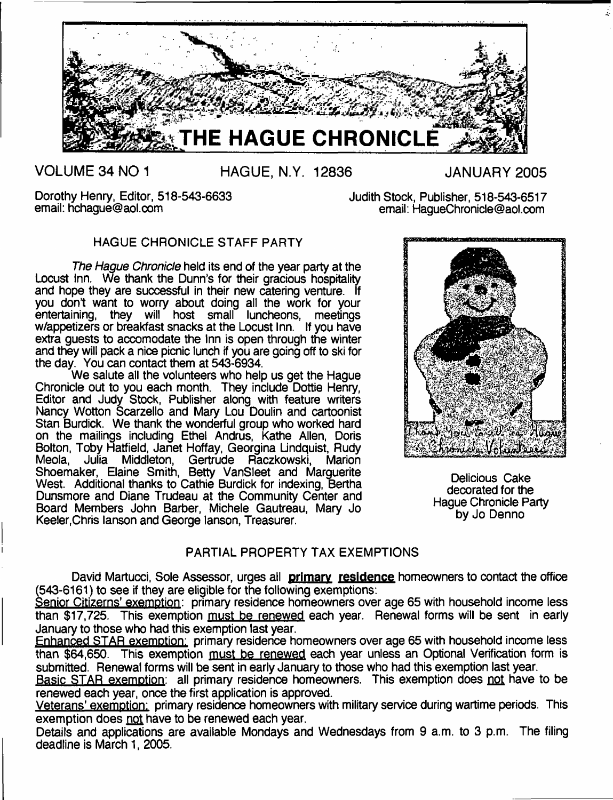

**VOLUME 34 NO 1 HAGUE, N.Y. 12836 JANUARY 2005**

Dorothy Henry, Editor, 518-543-6633 Judith Stock, Publisher, 518-543-6517<br>email: hchague@aol.com email: haqueChronicle@aol.com

email: [HagueChronicle@aol.com](mailto:HagueChronicle@aol.com)

# HAGUE CHRONICLE STAFF PARTY

*The Hague Chronicle* held its end of the year party at the Locust Inn. We thank the Dunn's for their gracious hospitality and hope they are successful in their new catering venture. If you don't want to worry about doing all the work for your entertaining, they will host small luncheons, meetings w/appetizers or breakfast snacks at the Locust Inn. If you have extra guests to accomodate the Inn is open through the winter and they will pack a nice picnic lunch if you are going off to ski for the day. You can contact them at 543-6934.

We salute all the volunteers who help us get the Hague Chronicle out to you each month. They include Dottie Henry, Editor and Judy Stock, Publisher along with feature writers Nancy Wotton Scarzello and Mary Lou Doulin and cartoonist Stan Burdick. We thank the wonderful group who worked hard on the mailings including Ethel Andrus, Kathe Allen, Doris Bolton, Toby Hatfield, Janet Hoffay, Georgina Lindquist, Rudy<br>Meola, Julia Middleton, Gertrude Raczkowski, Marion Julia Middleton, Gertrude Raczkowski, Marion Shoemaker, Elaine Smith, Betty VanSleet and Marguerite West. Additional thanks to Cathie Burdick for indexing, Bertha Dunsmore and Diane Trudeau at the Community Center and Board Members John Barber, Michele Gautreau, Mary Jo Keeler,Chris lanson and George lanson, Treasurer.



Delicious Cake decorated for the Hague Chronicle Party by Jo Denno

# PARTIAL PROPERTY TAX EXEMPTIONS

David Martucci, Sole Assessor, urges all **primary residence** homeowners to contact the offioe (543-6161) to see if they are eligible for the following exemptions:

Senior Citizens' exemption: primary residence homeowners over age 65 with household income less than \$17,725. This exemption must be renewed each year. Renewal forms will be sent in early January to those who had this exemption last year.

Enhanced STAR exemption: primary residence homeowners over age 65 with household income less than \$64,650. This exemption must be renewed each year unless an Optional Verification form is submitted. Renewal forms will be sent in early January to those who had this exemption last year.

Basic STAR exemption: all primary residence homeowners. This exemption does not have to be renewed each year, once the first application is approved.

Veterans' exemption: primary residence homeowners with military service during wartime periods. This exemption does not have to be renewed each year.

Details and applications are available Mondays and Wednesdays from 9 a.m. to 3 p.m. The filing deadline is March 1, 2005.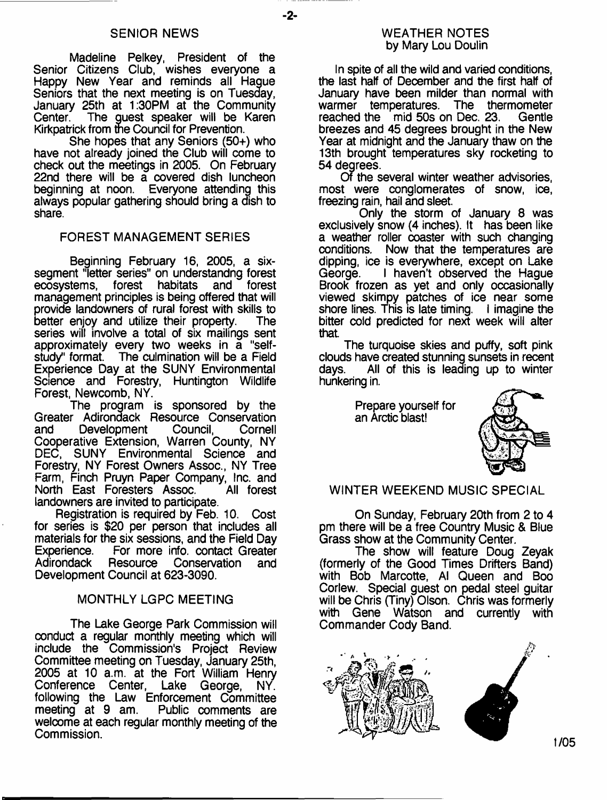## SENIOR NEWS

-2-

Madeline Pelkey, President of the Senior Citizens Club, wishes everyone a Happy New Year and reminds all Hague Seniors that the next meeting is on Tuesday, January 25th at 1:30PM at the Community The quest speaker will be Karen Kirkpatrick from the Council for Prevention.

She hopes that any Seniors (50+) who have not already joined the Club will come to check out the meetings in 2005. On February 22nd there will be a covered dish luncheon beginning at noon. Everyone attending this always popular gathering should bring a dish to share.

## FOREST MANAGEMENT SERIES

Beginning February 16, 2005, a sixsegment "letter series" on understandng forest<br>ecosystems. forest habitats and forest forest habitats management principles is being offered that will provide landowners of rural forest with skills to better enjoy and utilize their property. series will involve a total of six mailings sent approximately every two weeks in a "selfstudy" format. The culmination will be a Field Experience Day at the SUNY Environmental Science and Forestry, Huntington Wildlife Forest, Newcomb, NY.

The program is sponsored by the Greater Adirondack Resource Conservation<br>and Development Council. Cornell Development Cooperative Extension, Warren County, NY DEC, SUNY Environmental Science and Forestry, NY Forest Owners Assoc., NY Tree Farm, Finch Pruyn Paper Company, Inc. and North East Foresters Assoc. landowners are invited to participate.

Registration is required by Feb. 10. Cost for series is \$20 per person that includes all materials for the six sessions, and the Field Day<br>Experience. For more info. contact Greater Experience. For more info. contact Greater<br>Adirondack Resource Conservation and Conservation and Development Council at 623-3090.

## MONTHLY LGPC MEETING

The Lake George Park Commission will conduct a regular monthly meeting which will include the Commission's Project Review Committee meeting on Tuesday, January 25th, 2005 at 10 a.m. at the Fort William Henry Conference Center, Lake George, NY. following the Law Enforcement Committee<br>meeting at 9 am. Public comments are Public comments are welcome at each regular monthly meeting of the Commission.

## WEATHER NOTES by Mary Lou Doulin

In spite of all the wild and varied conditions. the last half of December and the first half of January have been milder than normal with warmer temperatures. The thermometer<br>reached the mid 50s on Dec. 23. Gentle reached the mid 50s on Dec. 23. breezes and 45 degrees brought in the New Year at midnight and the January thaw on the 13th brought temperatures sky rocketing to 54 degrees.

Of the several winter weather advisories, most were conglomerates of snow, ice, freezing rain, hail and sleet.

Only the storm of January 8 was exclusively snow (4 inches). It has been like a weather roller coaster with such changing<br>conditions. Now that the temperatures are Now that the temperatures are dipping, ice is everywhere, except on Lake<br>George. I haven't observed the Haque I haven't observed the Hague Brook frozen as yet and only occasionally viewed skimpy patches of ice near some shore lines. This is late timing. I imagine the bitter cold predicted for next week will alter that

The turquoise skies and puffy, soft pink clouds have created stunning sunsets in recent All of this is leading up to winter hunkering in.

> Prepare yourself for an Arctic blast!



## WINTER WEEKEND MUSIC SPECIAL

On Sunday, February 20th from 2 to 4 pm there will be a free Country Music & Blue Grass show at the Community Center.

The show will feature Doug Zeyak (formerly of the Good Times Drifters Band) with Bob Marcotte, Al Queen and Boo Corlew. Special guest on pedal steel guitar will be Chris (Tiny) Olson. Chris was formerly with Gene Watson and currently with Commander Cody Band.

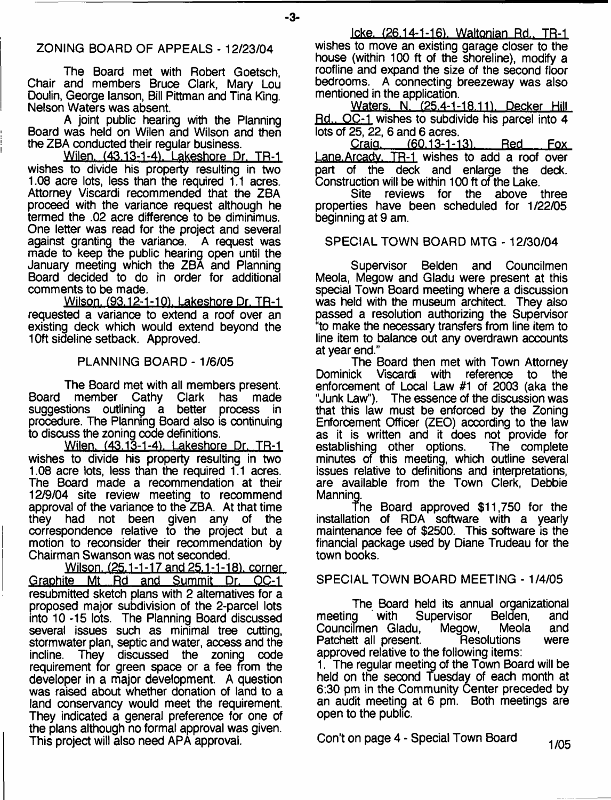- **3**-

The Board met with Robert Goetsch, Chair and members Bruce Clark, Mary Lou Doulin, George lanson, Bill Pittman and Tina King. Nelson Waters was absent.

A joint public hearing with the Planning Board was held on Wilen and Wilson and then the ZBA conducted their regular business.

Wilen. (43.13-1-4). Lakeshore Dr. TR-1 wishes to divide his property resulting in two 1.08 acre lots, less than the required 1.1 acres. Attorney Viscardi recommended that the ZBA proceed with the variance request although he termed the .02 acre difference to be diminimus. One letter was read for the project and several against granting the variance. A request was made to keep the public hearing open until the January meeting which the ZBA and Planning Board decided to do in order for additional comments to be made.

Wilson. (93.12-1-101. Lakeshore Dr. TR-1 requested a variance to extend a roof over an existing deck which would extend beyond the 10ft sideline setback. Approved.

## PLANNING BOARD - 1/6/05

The Board met with all members present. Board member Cathy Clark has made suggestions outlining a better process in procedure. The Planning Board also is continuing to discuss the zoning code definitions.

Wilen. (43.13-1-4). Lakeshore Dr. TR-1 wishes to divide his property resulting in two 1.08 acre lots, less than the required 1.1 acres. The Board made a recommendation at their 12/9/04 site review meeting to recommend approval of the variance to the ZBA. At that time they had not been given any of the correspondence relative to the project but a motion to reconsider their recommendation by Chairman Swanson was not seconded.

Wilson. (25.1-1-17 and 25.1-1-18), corner Graphite Mt Rd and Summit Dr. OC-1 resubmitted sketch plans with 2 alternatives for a proposed major subdivision of the 2-parcel lots into 10-15 lots. The Planning Board discussed several issues such as minimal tree cutting, stormwater plan, septic and water, access and the incline. They discussed the zoning code requirement for green space or a fee from the developer in a major development. A question was raised about whether donation of land to a land conservancy would meet the requirement. They indicated a general preference for one of the plans although no formal approval was given. This project will also need APA approval.

Icke. (26.14-1-16). Waltonian Rd., TR-1 wishes to move an existing garage closer to the house (within 100 ft of the shoreline), modify a roofline and expand the size of the second floor bedrooms. A connecting breezeway was also mentioned in the application.

Waters. N. (25.4-1-18.11). Decker Hill Rd.. OC-1 wishes to subdivide his parcel into 4 lots of 25, 22, 6 and 6 acres.

(60.13-1-13). Red Fox Lane.Arcadv. TR-1 wishes to add a roof over part of the deck and enlarge the deck.

Construction will be within 100 ft of the Lake.<br>Site reviews for the above three Site reviews for the properties have been scheduled for 1/22/05 beginning at 9 am.

## SPECIAL TOWN BOARD MTG - 12/30/04

Supervisor Belden and Councilmen Meola, Megow and Gladu were present at this special Town Board meeting where a discussion was held with the museum architect. They also passed a resolution authorizing the Supervisor "to make the necessary transfers from line item to line item to balance out any overdrawn accounts at year end."

The Board then met with Town Attorney<br>Dominick Viscardi with reference to the Viscardi with reference to the enforcement of Local Law #1 of 2003 (aka the "Junk Law"). The essence of the discussion was that this law must be enforced by the Zoning Enforcement Officer (ZEO) according to the law as it is written and it does not provide for<br>establishing other options. The complete establishing other options. minutes of this meeting, which outline several issues relative to definitions and interpretations, are available from the Town Clerk, Debbie Manning.

The Board approved \$11,750 for the installation of RDA software with a yearly maintenance fee of \$2500. This software is the financial package used by Diane Trudeau for the town books.

SPECIAL TOWN BOARD MEETING - 1/4/05

The Board held its annual organizational<br>meeting with Supervisor Belden, and Supervisor Belden, and<br>J. Megow. Meola and Councifmen Gladu, Megow, Meola and Patchett all present. approved relative to the following items:

1. The regular meeting of the Town Board will be held on the second Tuesday of each month at 6:30 pm in the Community Center preceded by an audit meeting at 6 pm. Both meetings are open to the public.

Con't on page  $4$  - Special Town Board  $1/05$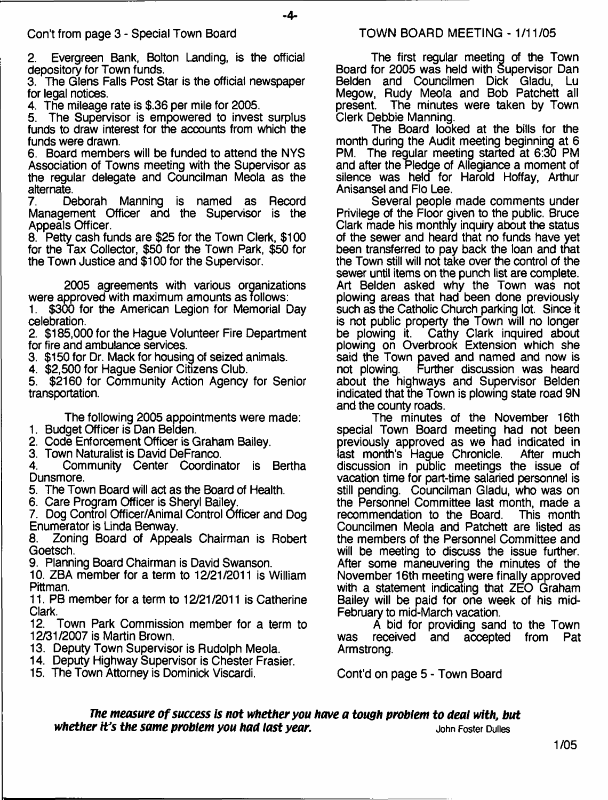2. Evergreen Bank, Bolton Landing, is the official depository for Town funds.

3. The Glens Falls Post Star is the official newspaper for legal notices.

4. The mileage rate is \$.36 per mile for 2005.

5. The Supervisor is empowered to invest surplus funds to draw interest for the accounts from which the funds were drawn.

6. Board members will be funded to attend the NYS Association of Towns meeting with the Supervisor as the regular delegate and Councilman Meola as the alternate.<br>7. De

7. Deborah Manning is named as Record Management Officer and the Supervisor is the Appeals Officer.

8. Petty cash funds are \$25 for the Town Clerk, \$100 for the Tax Collector, \$50 for the Town Park, \$50 for the Town Justice and \$100 for the Supervisor.

2005 agreements with various organizations were approved with maximum amounts as follows:

1. \$300 for the American Legion for Memorial Day celebration.

2. \$185,000 for the Hague Volunteer Fire Department for fire and ambulance services.

3. \$150 for Dr. Mack for housing of seized animals.

4. \$2,500 for Hague Senior Citizens Club.

5. \$2160 for Community Action Agency for Senior transportation.

The following 2005 appointments were made: 1. Budget Officer is Dan Belden.

2. Code Enforcement Officer is Graham Bailey.

3. Town Naturalist is David DeFranco.<br>4. Community Center Coordina 4. Community Center Coordinator is Bertha Dunsmore.

5. The Town Board will act as the Board of Health.

6. Care Program Officer is Sheryl Bailey.

7. Dog Control Officer/Animal Control Officer and Dog Enumerator is Linda Benway.

8. Zoning Board of Appeals Chairman is Robert Goetsch.

9. Planning Board Chairman is David Swanson.

10. ZBA member for a term to 12/21/2011 is William Pittman.

11. PB member for a term to 12/21 /2011 is Catherine Clark.

12. Town Park Commission member for a term to 12/31/2007 is Martin Brown.

13. Deputy Town Supervisor is Rudolph Meola.

14. Deputy Highway Supervisor is Chester Frasier.

15. The Town Attorney is Dominick Viscardi.

The first regular meeting of the Town Board for 2005 was held with Supervisor Dan Belden and Councilmen Dick Gladu, Lu Megow, Rudy Meola and Bob Patchett all present. The minutes were taken by Town The minutes were taken by Town Clerk Debbie Manning.

The Board looked at the bills for the month during the Audit meeting beginning at 6 PM. The regular meeting started at 6:30 PM and after the Pledge of Allegiance a moment of silence was held for Harold Hoffay, Arthur Anisansel and Flo Lee.

Several people made comments under Privilege of the Floor given to the public. Bruce Clark made his monthly inquiry about the status of the sewer and heard that no funds have yet been transferred to pay back the loan and that the Town still will not take over the control of the sewer until items on the punch list are complete. Art Belden asked why the Town was not plowing areas that had been done previously such as the Catholic Church parking lot. Since it is not public property the Town will no longer<br>be plowing it. Cathy Clark inquired about Cathy Clark inquired about plowing on Overbrook Extension which she said the Town paved and named and now is<br>not plowing. Further discussion was heard Further discussion was heard about the highways and Supervisor Belden indicated that the Town is plowing state road 9N and the county roads.

The minutes of the November 16th special Town Board meeting had not been previously approved as we had indicated in<br>last month's Haque Chronicle. After much last month's Hague Chronicle. discussion in public meetings the issue of vacation time for part-time salaried personnel is still pending. Councilman Gladu, who was on the Personnel Committee last month, made a recommendation to the Board. This month Councilmen Meola and Patchett are listed as the members of the Personnel Committee and will be meeting to discuss the issue further. After some maneuvering the minutes of the November 16th meeting were finally approved with a statement indicating that ZEO Graham Bailey will be paid for one week of his mid-February to mid-March vacation.

A bid for providing sand to the Town<br>received and accepted from Pat was received and accepted from Armstrong.

Cont'd on page 5 - Town Board

*The measure of success is not whether you have a tough problem to deal with, but*<br>*Prime same problem you had last year. <i>buy serime the same problem you had last year. whether it's the same problem you had last year.*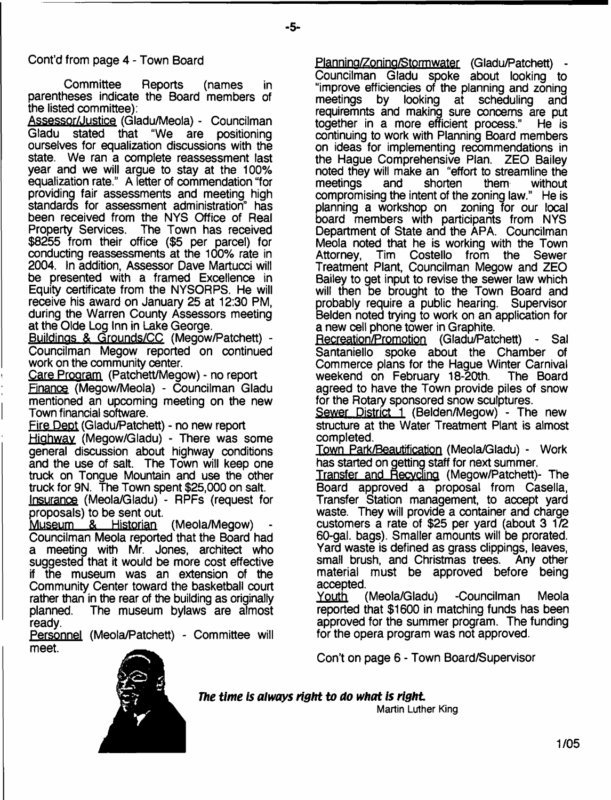# Cont'd from page 4 - Town Board

Committee Reports (names in parentheses indicate the Board members of the listed committee):

Assessor/Justice (Gladu/Meola) - Councilman Gladu stated that "We are positioning ourselves for equalization discussions with the state. We ran a complete reassessment last year and we will argue to stay at the 100% equalization rate." A letter of commendation "for providing fair assessments and meeting high standards for assessment administration" has been received from the NYS Office of Real Property Services. The Town has received \$8255 from their office (\$5 per parcel) for conducting reassessments at the 100% rate in 2004. In addition, Assessor Dave Martucci will be presented with a framed Excellence in Equity certificate from the NYSORPS. He will receive his award on January 25 at 12:30 PM, during the Warren County Assessors meeting at the Olde Log Inn in Lake George.

Buildings & Grounds/CC (Megow/Patchett) - Councilman Megow reported on continued work on the community center.

Care Program (Patchett/Megow) - no report Finance (Megow/Meola) - Councilman Gladu mentioned an upcoming meeting on the new Town financial software.

Fire Dept (Gladu/Patchett) - no new report

Highway (Megow/Gladu) - There was some general discussion about highway conditions and the use of salt. The Town will keep one truck on Tongue Mountain and use the other truck for 9N. The Town spent \$25,000 on salt.

Insurance (Meola/Gladu) - RPFs (request for proposals) to be sent out.

Museum & Historian (Meola/Megow) Councilman Meola reported that the Board had a meeting with Mr. Jones, architect who suggested that it would be more cost effective if the museum was an extension of the Community Center toward the basketball court rather than in the rear of the building as originally planned. The museum bylaws are almost ready.

Personnel (Meola/Patchett) - Committee will meet.

Planning/Zoning/Stormwater (Gladu/Patchett) Councilman Gladu spoke about looking to "improve efficiencies of the planning and zoning meetings by looking at scheduling and requiremnts and making sure concerns are put together in a more efficient process." He is continuing to work with Planning Board members on ideas for implementing recommendations in the Hague Comprehensive Plan. ZEO Bailey noted they will make an "effort to streamline the meetings and shorten them without compromising the intent of the zoning law." He is planning a workshop on zoning for our local board members with participants from NYS Department of State and the APA. Councilman Meola noted that he is working with the Town Attorney, Tim Costello from the Sewer Treatment Plant, Councilman Megow and ZEO Bailey to get input to revise the sewer law which will then be brought to the Town Board and probably require a public hearing. Supervisor Belden noted trying to work on an application for a new cell phone tower in Graphite.

Recreation/Promotion (Gladu/Patchett) - Sal Santaniello spoke about the Chamber of Commerce plans for the Hague Winter Carnival weekend on February 18-20th. The Board agreed to have the Town provide piles of snow for the Rotary sponsored snow sculptures.

Sewer District 1 (Belden/Megow) - The new structure at the Water Treatment Plant is almost completed.

Town Park/Beautification (Meola/Gladu) - Work has started on getting staff for next summer.

Transfer and Recycling (Megow/Patchett)- The Board approved a proposal from Casella, Transfer Station management, to accept yard waste. They will provide a container and charge customers a rate of \$25 per yard (about 3 1/2 60-gal. bags). Smaller amounts will be prorated. Yard waste is defined as grass clippings, leaves, small brush, and Christmas trees. Any other material must be approved before being accepted.

Youth (Meola/Gladu) -Councilman Meola reported that \$1600 in matching funds has been approved for the summer program. The funding for the opera program was not approved.

Con't on page 6 - Town Board/Supervisor



*The time is always right to do what is right*

**Martin Luther King**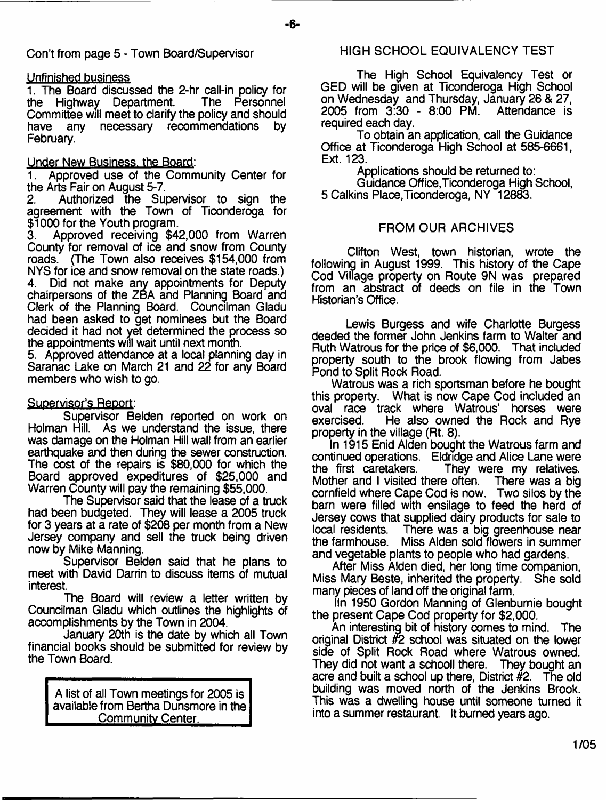Con't from page 5 - Town Board/Supervisor

## Unfinished business

1. The Board discussed the 2-hr call-in policy for<br>the Highway Department. The Personnel the Highway Department. Committee will meet to clarify the policy and should have any necessary recommendations by February.

## Under New Business, the Board:

1. Approved use of the Community Center for the Arts Fair on August 5-7.<br>2. Authorized the Sur

Authorized the Supervisor to sign the agreement with the Town of Ticonderoga for \$1000 for the Youth program.<br>3. Approved receiving \$4

Approved receiving \$42,000 from Warren County for removal of ice and snow from County roads. (The Town also receives \$154,000 from NYS for ice and snow removal on the state roads.)<br>4 Did not make any appointments for Deputy

Did not make any appointments for Deputy chairpersons of the ZBA and Planning Board and Clerk of the Planning Board. Councilman Gladu had been asked to get nominees but the Board decided it had not yet determined the process so the appointments will wait until next month.

5. Approved attendance at a local planning day in Saranac Lake on March 21 and 22 for any Board members who wish to go.

## **Supervisor's Report:**

Supervisor Belden reported on work on Holman Hill. As we understand the issue, there was damage on the Holman Hill wall from an earlier earthquake and then during the sewer construction. The cost of the repairs is \$80,000 for which the Board approved expeditures of \$25,000 and Warren County will pay the remaining \$55,000.

The Supervisor said that the lease of a truck had been budgeted. They will lease a 2005 truck for 3 years at a rate of \$208 per month from a New Jersey company and sell the truck being driven now by Mike Manning.

Supervisor Belden said that he plans to meet with David Darrin to discuss items of mutual interest.

The Board will review a letter written by Councilman Gladu which outlines the highlights of accomplishments by the Town in 2004.

January 20th is the date by which ail Town financial books should be submitted for review by the Town Board.

A list of all Town meetings for 2005 is available from Bertha Dunsmore in the Community Center.

## HIGH SCHOOL EQUIVALENCY TEST

The High School Equivalency Test or GED will be given at Ticonderoga High School on Wednesday and Thursday, January 26 & 27, 2005 from 3:30 - 8:00 PM. Attendance is required each day.

To obtain an application, call the Guidance Office at Ticonderoga High School at 585-6661, Ext. 123.

Applications should be returned to:

Guidance Office,Ticonderoga High School, 5 Calkins Place,Ticonderoga, NY 12883.

## FROM OUR ARCHIVES

Clifton West, town historian, wrote the following in August 1999. This history of the Cape Cod Village property on Route 9N was prepared from an abstract of deeds on file in the Town Historian's Office.

Lewis Burgess and wife Charlotte Burgess deeded the former John Jenkins farm to Walter and Ruth Watrous for the price of \$6,000. That included property south to the brook flowing from Jabes Pond to Split Rock Road.

Watrous was a rich sportsman before he bought this property. What is now Cape Cod included an oval race track where Watrous' horses were<br>exercised. He also owned the Rock and Rve He also owned the Rock and Rye property in the village (Rt. 8).

In 1915 Enid Alden bought the Watrous farm and continued operations. Eldridge and Alice Lane were They were my relatives. Mother and I visited there often. There was a big cornfield where Cape Cod is now. Two silos by the barn were filled with ensilage to feed the herd of Jersey cows that supplied dairy products for sale to There was a big greenhouse near the farmhouse. Miss Alden sold flowers in summer and vegetable plants to people who had gardens.

After Miss Alden died, her long time companion, Miss Mary Beste, inherited the property. She sold many pieces of land off the original farm.

In 1950 Gordon Manning of Glenburnie bought the present Cape Cod property for \$2,000.

An interesting bit of history comes to mind. The original District #2 school was situated on the lower side of Split Rock Road where Watrous owned.<br>They did not want a schooll there. They bought an They did not want a schooll there. acre and built a school up there, District  $#2$ . The old building was moved north of the Jenkins Brook. This was a dwelling house until someone turned it into a summer restaurant. It burned years ago.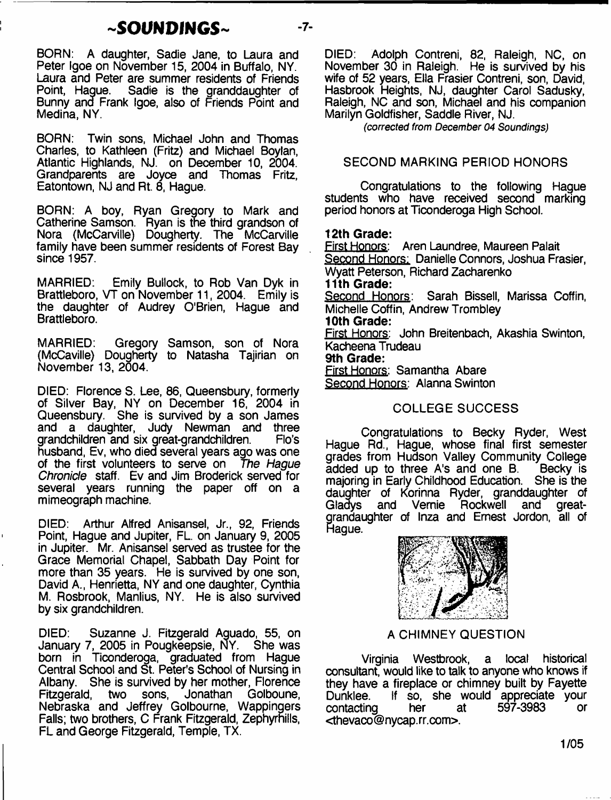# $\sim$ SOUNDINGS $\sim$   $-7$ -

BORN: A daughter, Sadie Jane, to Laura and Peter Igoe on November 15, 2004 in Buffalo, NY. Laura and Peter are summer residents of Friends Sadie is the granddaughter of Bunny and Frank Igoe, also of Friends Point and Medina, NY.

BORN: Twin sons, Michael John and Thomas Charles, to Kathleen (Fritz) and Michael Boylan, Atlantic Highlands, NJ. on December 10, 2004. Grandparents are Joyce and Thomas Fritz, Eatontown, NJ and Rt. 8, Hague.

BORN: A boy, Ryan Gregory to Mark and Catherine Samson. Ryan is the third grandson of Nora (McCarville) Dougherty. The McCarville family have been summer residents of Forest Bay since 1957.

MARRIED: Emily Bullock, to Rob Van Dyk in Brattleboro, VT on November 11, 2004. Emily is the daughter of Audrey O'Brien, Hague and Brattleboro.

MARRIED: Gregory Samson, son of Nora (McCaville) Dougherty to Natasha Tajirian on November 13, 2004.

DIED: Florence S. Lee, 86, Queensbury, formerly of Silver Bay, NY on December 16, 2004 in Queensbury. She is survived by a son James and a daughter, Judy Newman and three arandchildren and six-great-grandchildren. Flo's grandchildren and six great-grandchildren. husband, Ev, who died several years ago was one of the first volunteers to serve on *The Hague Chronide* staff. Ev and Jim Broderick served for several years running the paper off on a mimeograph machine.

DIED: Arthur Alfred Anisansel, Jr., 92, Friends Point, Hague and Jupiter, FL. on January 9, 2005 in Jupiter. Mr. Anisansel served as trustee for the Grace Memorial Chapel, Sabbath Day Point for more than 35 years. He is survived by one son, David A., Henrietta, NY and one daughter, Cynthia M. Rosbrook, Manlius, NY. He is also survived by six grandchildren.

DIED: Suzanne J. Fitzgerald Aguado, 55, on<br>January 7, 2005 in Pougkeepsie, NY. She was January 7, 2005 in Pougkeepsie, NY. born in Ticonderoga, graduated from Hague Central School and St. Peter's School of Nursing in Albany. She is survived by her mother, Florence<br>Fitzgerald, two sons, Jonathan Golboune, Fitzgerald, two sons, Jonathan Golboune, Nebraska and Jeffrey Golbourne, Wappingers Falls; two brothers, C Frank Fitzgerald, Zephyrnills, FL and George Fitzgerald, Temple, TX.

DIED: Adolph Contreni, 82, Raleigh, NC, on November 30 in Raleigh. He is survived by his wife of 52 years, Ella Frasier Contreni, son, David, Hasbrook Heights, NJ, daughter Carol Sadusky, Raleigh, NC and son, Michael and his companion Marilyn Goldfisher, Saddle River, NJ.

*(corrected from December 04 Soundings)*

# SECOND MARKING PERIOD HONORS

Congratulations to the following Hague students who have received second marking period honors at Ticonderoga High School.

## **12th Grade:**

First Honors: Aren Laundree, Maureen Palait Second Honors: Danielle Connors, Joshua Frasier, Wyatt Peterson, Richard Zacharenko **11th Grade:** Second Honors: Sarah Bissell, Marissa Coffin, Michelle Coffin, Andrew Trombley **10th Grade:** First Honors: John Breitenbach, Akashia Swinton, Kacheena Trudeau **9th Grade:** First Honors: Samantha Abare Second Honors: Alanna Swinton

# COLLEGE SUCCESS

Congratulations to Becky Ryder, West Hague Rd., Hague, whose final first semester grades from Hudson Valley Community College<br>added up to three A's and one B. Becky is added up to three A's and one B. majoring in Early Childhood Education. She is the daughter of Korinna Ryder, granddaughter of<br>Gladys and Vernie Rockwell and great-Gladys and Vemie Rockwell and greatgrandaughter of Inza and Ernest Jordon, all of Hague.



## A CHIMNEY QUESTION

Virginia Westbrook, a local historical consultant, would like to talk to anyone who knows if they have a fireplace or chimney built by Fayette Dunklee. If so, she would appreciate your contacting her <thevaco @ nycap. rr.com>.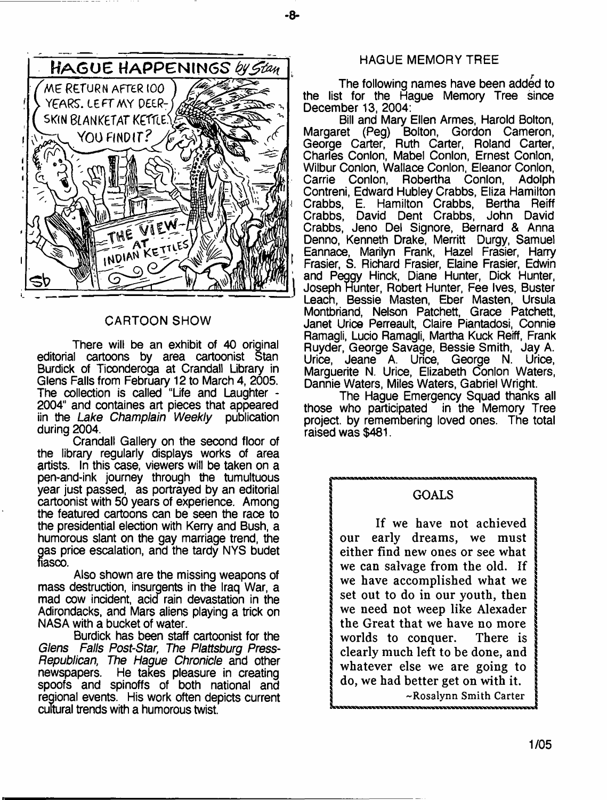

## CARTOON SHOW

There will be an exhibit of 40 original editorial cartoons by area cartoonist Stan Burdick of Ticonderoga at Crandall Library in Glens Falls from February 12 to March 4, 2005. The collection is called "Life and Laughter - 2004" and containes art pieces that appeared<br>iin the Lake Champlain Weekly publication iin the *Lake Champlain Weekly* during 2004.

Crandall Gallery on the second floor of the library regularly displays works of area artists. In this case, viewers will be taken on a pen-and-ink journey through the tumultuous year just passed, as portrayed by an editorial cartoonist with 50 years of experience. Among the featured cartoons can be seen the race to the presidential election with Kerry and Bush, a humorous slant on the gay marriage trend, the gas price escalation, and the tardy NYS budet fiasco.

Also shown are the missing weapons of mass destruction, insurgents in the Iraq War, a mad cow incident, acid rain devastation in the Adirondacks, and Mars aliens playing a trick on NASA with a bucket of water.

Burdick has been staff cartoonist for the *Glens Falls Post-Star, The Plattsburg Press-Republican, The Hague Chronicle* and other newspapers. He takes pleasure in creating spoofs and spinoffs of both national and regional events. His work often depicts current cultural trends with a humorous twist.

## HAGUE MEMORY TREE

- **8**-

The following names have been added to the list for the Hague Memory Tree since December 13, 2004:

Bill and Mary Ellen Armes, Harold Bolton, Margaret (Peg) Bolton, Gordon Cameron, George Carter, Ruth Carter, Roland Carter, Charles Conlon, Mabel Conlon, Ernest Conlon, Wilbur Conlon, Wallace Conlon, Eleanor Conlon, Carrie Conlon, Robertha Conlon, Adolph Contreni, Edward Hubley Crabbs, Eliza Hamilton Crabbs, E. Hamilton Crabbs, Bertha Reiff Crabbs, David Dent Crabbs, John David Crabbs, Jeno Del Signore, Bernard & Anna Denno, Kenneth Drake, Merritt Durgy, Samuel Eannace, Marilyn Frank, Hazel Frasier, Harry Frasier, S. Richard Frasier, Elaine Frasier, Edwin and Peggy Hinck, Diane Hunter, Dick Hunter, Joseph Hunter, Robert Hunter, Fee Ives, Buster Leach, Bessie Masten, Eber Masten, Ursula Montbriand, Nelson Patchett, Grace Patchett, Janet Urice Perreault, Claire Piantadosi, Connie Ramagli, Lucio Ramagli, Martha Kuck Reiff, Frank Ruyder, George Savage, Bessie Smith, Jay A. Urice, Jeane A. Urice, George N. Urice, Marguerite N. Urice, Elizabeth Conlon Waters, Dannie Waters, Miles Waters, Gabriel Wright.

The Hague Emergency Squad thanks all those who participated in the Memory Tree project, by remembering loved ones. The total raised was \$481.

## **| GOALS**

**If we have not achieved our early dreams, we must | either find new ones or see what** we can salvage from the old. If <sup>i</sup>**we have accomplished what we i set out to do in our youth, then we need not weep like Alexader the Great that we have no more j worlds to conquer. There is | clearly much left to be done, and whatever else we are going to do, we had better get on with it.** -Rosalynn Smith Carter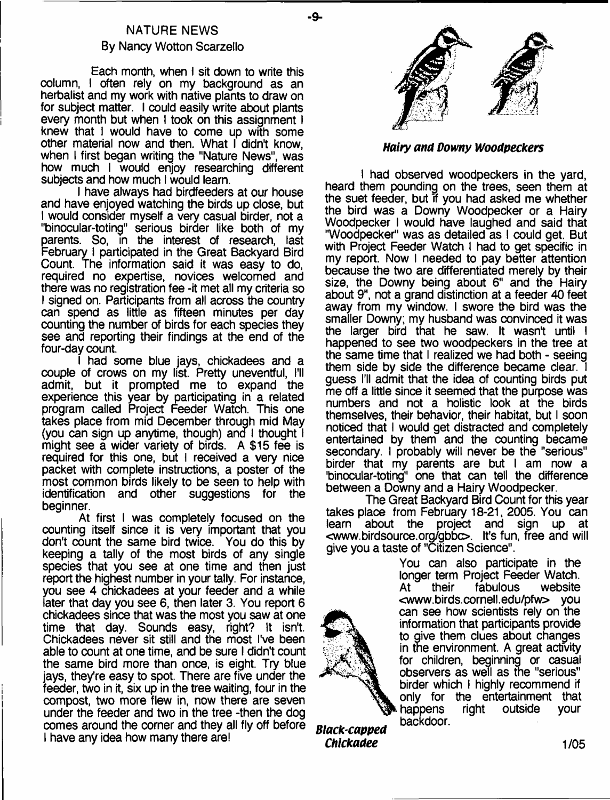# NATURE NEWS By Nancy Wotton Scarzello

- **9**-

Each month, when I sit down to write this column, I often rely on my background as an herbalist and my work with native plants to draw on for subject matter. I could easily write about plants every month but when I took on this assignment I knew that I would have to come up with some other material now and then. What I didn't know, when I first began writing the "Nature News", was how much I would enjoy researching different subjects and how much I would learn.

I have always had birdfeeders at our house and have enjoyed watching the birds up close, but I would consider myself a very casual birder, not a "binocular-toting" serious birder like both of my parents. So, in the interest of research, last February I participated in the Great Backyard Bird Count. The information said it was easy to do, required no expertise, novices welcomed and there was no registration fee -it met all my criteria so I signed on. Participants from all across the country can spend as little as fifteen minutes per day counting the number of birds for each species they see and reporting their findings at the end of the four-day count.

I had some blue jays, chickadees and a couple of crows on my list. Pretty uneventful, I'll admit, but it prompted me to expand the experience this year by participating in a related program called Project Feeder Watch. This one takes place from mid December through mid May (you can sign up anytime, though) and I thought  $\overline{\phantom{a}}$ might see a wider variety of birds. A \$15 fee is required for this one, but I received a very nice packet with complete instructions, a poster of the most common birds likely to be seen to help with identification and other suggestions for the beginner.

At first I was completely focused on the counting itself since it is very important that you don't count the same bird twice. You do this by keeping a tally of the most birds of any single species that you see at one time and then just report the highest number in your tally. For instance, you see 4 chickadees at your feeder and a while later that day you see 6, then later 3. You report 6 chickadees since that was the most you saw at one time that day. Sounds easy, right? It isn't. Chickadees never sit still and the most I've been able to count at one time, and be sure I didn't count the same bird more than once, is eight. Try blue jays, they're easy to spot. There are five under the feeder, two in it, six up in the tree waiting, four in the compost, two more flew in, now there are seven under the feeder and two in the tree -then the dog comes around the comer and they all fly off before I have any idea how many there are!



## *Hairy ana Downy Wooapeckers*

I had observed woodpeckers in the yard, heard them pounding on the trees, seen them at the suet feeder, but if you had asked me whether the bird was a Downy Woodpecker or a Hairy Woodpecker I would have laughed and said that "Woodpecker" was as detailed as I could get. But with Project Feeder Watch I had to get specific in my report. Now I needed to pay better attention because the two are differentiated merely by their size, the Downy being about 6" and the Hairy about 9", not a grand distinction at a feeder 40 feet away from my window. I swore the bird was the smaller Downy; my husband was convinced it was the larger bird that he saw. It wasn't until I happened to see two woodpeckers in the tree at the same time that I realized we had both - seeing them side by side the difference became clear. I guess I'll admit that the idea of counting birds put me off a little since it seemed that the purpose was numbers and not a holistic look at the birds themselves, their behavior, their habitat, but I soon noticed that I would get distracted and completely entertained by them and the counting became secondary. I probably will never be the "serious" birder that my parents are but I am now a 'binocular-toting" one that can tell the difference between a Downy and a Hairy Woodpecker.

The Great Backyard Bird Count for this year takes place from February 18-21, 2005. You can<br>learn about the project and sign up at about the project and sign up at <[www.birdsource.org/gbbo.](http://www.birdsource.org/gbbo) It's fun, free and will give you a taste of "Citizen Science".

> You can also participate in the longer term Project Feeder Watch.<br>At their fabulous website At their fabulous <[www.birds.cornell.edu/pfw](http://www.birds.cornell.edu/pfw)> you can see how scientists rely on the information that participants provide to give them clues about changes in the environment. A great activity for children, beginning or casual observers as well as the "serious" birder which I highly recommend if only for the entertainment that<br>happens right outside your happens right outside your backdoor.

*Black-capped Chickadee* **1/05**